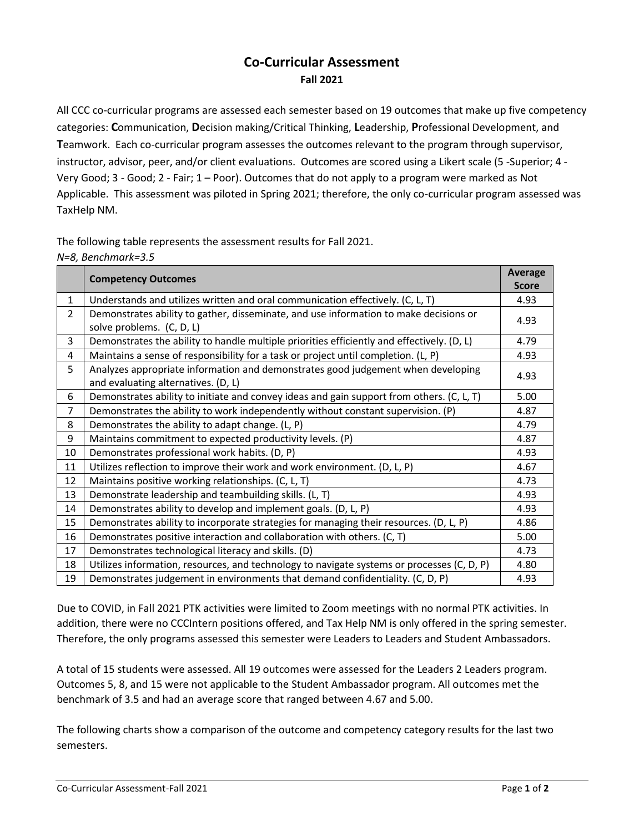## **Co-Curricular Assessment Fall 2021**

All CCC co-curricular programs are assessed each semester based on 19 outcomes that make up five competency categories: **C**ommunication, **D**ecision making/Critical Thinking, **L**eadership, **P**rofessional Development, and **T**eamwork. Each co-curricular program assesses the outcomes relevant to the program through supervisor, instructor, advisor, peer, and/or client evaluations. Outcomes are scored using a Likert scale (5 -Superior; 4 - Very Good; 3 - Good; 2 - Fair; 1 – Poor). Outcomes that do not apply to a program were marked as Not Applicable. This assessment was piloted in Spring 2021; therefore, the only co-curricular program assessed was TaxHelp NM.

The following table represents the assessment results for Fall 2021.

| N=8, Benchmark=3.5 |
|--------------------|
|--------------------|

|                | <b>Competency Outcomes</b>                                                                 | <b>Average</b> |
|----------------|--------------------------------------------------------------------------------------------|----------------|
|                |                                                                                            | <b>Score</b>   |
| $\mathbf{1}$   | Understands and utilizes written and oral communication effectively. (C, L, T)             | 4.93           |
| $\overline{2}$ | Demonstrates ability to gather, disseminate, and use information to make decisions or      |                |
|                | solve problems. (C, D, L)                                                                  | 4.93           |
| 3              | Demonstrates the ability to handle multiple priorities efficiently and effectively. (D, L) | 4.79           |
| 4              | Maintains a sense of responsibility for a task or project until completion. (L, P)         | 4.93           |
| 5              | Analyzes appropriate information and demonstrates good judgement when developing           | 4.93           |
|                | and evaluating alternatives. (D, L)                                                        |                |
| 6              | Demonstrates ability to initiate and convey ideas and gain support from others. (C, L, T)  | 5.00           |
| $\overline{7}$ | Demonstrates the ability to work independently without constant supervision. (P)           | 4.87           |
| 8              | Demonstrates the ability to adapt change. (L, P)                                           | 4.79           |
| 9              | Maintains commitment to expected productivity levels. (P)                                  | 4.87           |
| 10             | Demonstrates professional work habits. (D, P)                                              | 4.93           |
| 11             | Utilizes reflection to improve their work and work environment. (D, L, P)                  | 4.67           |
| 12             | Maintains positive working relationships. (C, L, T)                                        | 4.73           |
| 13             | Demonstrate leadership and teambuilding skills. (L, T)                                     | 4.93           |
| 14             | Demonstrates ability to develop and implement goals. (D, L, P)                             | 4.93           |
| 15             | Demonstrates ability to incorporate strategies for managing their resources. (D, L, P)     | 4.86           |
| 16             | Demonstrates positive interaction and collaboration with others. (C, T)                    | 5.00           |
| 17             | Demonstrates technological literacy and skills. (D)                                        | 4.73           |
| 18             | Utilizes information, resources, and technology to navigate systems or processes (C, D, P) | 4.80           |
| 19             | Demonstrates judgement in environments that demand confidentiality. (C, D, P)              | 4.93           |

Due to COVID, in Fall 2021 PTK activities were limited to Zoom meetings with no normal PTK activities. In addition, there were no CCCIntern positions offered, and Tax Help NM is only offered in the spring semester. Therefore, the only programs assessed this semester were Leaders to Leaders and Student Ambassadors.

A total of 15 students were assessed. All 19 outcomes were assessed for the Leaders 2 Leaders program. Outcomes 5, 8, and 15 were not applicable to the Student Ambassador program. All outcomes met the benchmark of 3.5 and had an average score that ranged between 4.67 and 5.00.

The following charts show a comparison of the outcome and competency category results for the last two semesters.